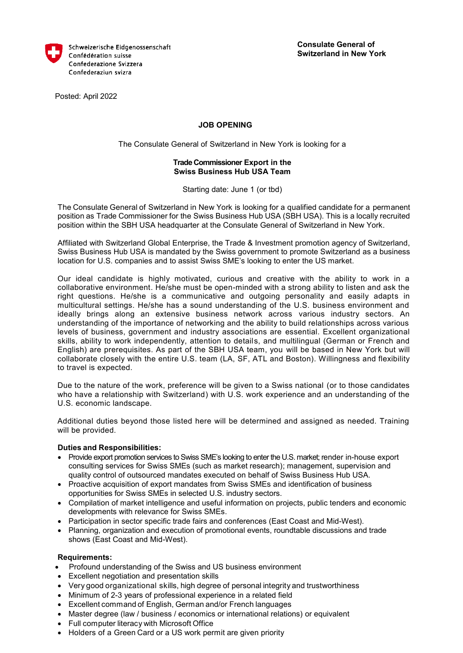

Posted: April 2022

# **JOB OPENING**

The Consulate General of Switzerland in New York is looking for a

## **Trade Commissioner Export in the Swiss Business Hub USA Team**

Starting date: June 1 (or tbd)

The Consulate General of Switzerland in New York is looking for a qualified candidate for a permanent position as Trade Commissioner for the Swiss Business Hub USA (SBH USA). This is a locally recruited position within the SBH USA headquarter at the Consulate General of Switzerland in New York.

Affiliated with Switzerland Global Enterprise, the Trade & Investment promotion agency of Switzerland, Swiss Business Hub USA is mandated by the Swiss government to promote Switzerland as a business location for U.S. companies and to assist Swiss SME's looking to enter the US market.

Our ideal candidate is highly motivated, curious and creative with the ability to work in a collaborative environment. He/she must be open-minded with a strong ability to listen and ask the right questions. He/she is a communicative and outgoing personality and easily adapts in multicultural settings. He/she has a sound understanding of the U.S. business environment and ideally brings along an extensive business network across various industry sectors. An understanding of the importance of networking and the ability to build relationships across various levels of business, government and industry associations are essential. Excellent organizational skills, ability to work independently, attention to details, and multilingual (German or French and English) are prerequisites. As part of the SBH USA team, you will be based in New York but will collaborate closely with the entire U.S. team (LA, SF, ATL and Boston). Willingness and flexibility to travel is expected.

Due to the nature of the work, preference will be given to a Swiss national (or to those candidates who have a relationship with Switzerland) with U.S. work experience and an understanding of the U.S. economic landscape.

Additional duties beyond those listed here will be determined and assigned as needed. Training will be provided.

### **Duties and Responsibilities:**

- Provide export promotion services to Swiss SME's looking to enter the U.S. market; render in-house export consulting services for Swiss SMEs (such as market research); management, supervision and quality control of outsourced mandates executed on behalf of Swiss Business Hub USA.
- Proactive acquisition of export mandates from Swiss SMEs and identification of business opportunities for Swiss SMEs in selected U.S. industry sectors.
- Compilation of market intelligence and useful information on projects, public tenders and economic developments with relevance for Swiss SMEs.
- Participation in sector specific trade fairs and conferences (East Coast and Mid-West).
- Planning, organization and execution of promotional events, roundtable discussions and trade shows (East Coast and Mid-West).

### **Requirements:**

- Profound understanding of the Swiss and US business environment
- Excellent negotiation and presentation skills
- Very good organizational skills, high degree of personal integrity and trustworthiness
- Minimum of 2-3 years of professional experience in a related field
- Excellent command of English, German and/or French languages
- Master degree (law / business / economics or international relations) or equivalent
- Full computer literacy with Microsoft Office
- Holders of a Green Card or a US work permit are given priority